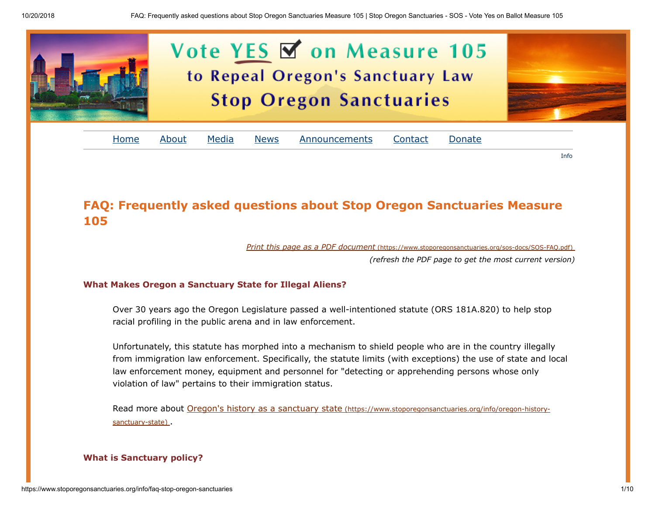

# FAQ: Frequently asked questions about Stop Oregon Sanctuaries Measure 105

Print this page as a PDF document [\(https://www.stoporegonsanctuaries.org/sos-docs/SOS-FAQ.pdf\)](https://www.stoporegonsanctuaries.org/sos-docs/SOS-FAQ.pdf)

(refresh the PDF page to get the most current version)

Info

# What Makes Oregon a Sanctuary State for Illegal Aliens?

Over 30 years ago the Oregon Legislature passed a well-intentioned statute (ORS 181A.820) to help stop racial profiling in the public arena and in law enforcement.

Unfortunately, this statute has morphed into a mechanism to shield people who are in the country illegally from immigration law enforcement. Specifically, the statute limits (with exceptions) the use of state and local law enforcement money, equipment and personnel for "detecting or apprehending persons whose only violation of law" pertains to their immigration status.

[Read more about Oregon's history as a sanctuary state](https://www.stoporegonsanctuaries.org/info/oregon-history-sanctuary-state) (https://www.stoporegonsanctuaries.org/info/oregon-historysanctuary-state) .

# What is Sanctuary policy?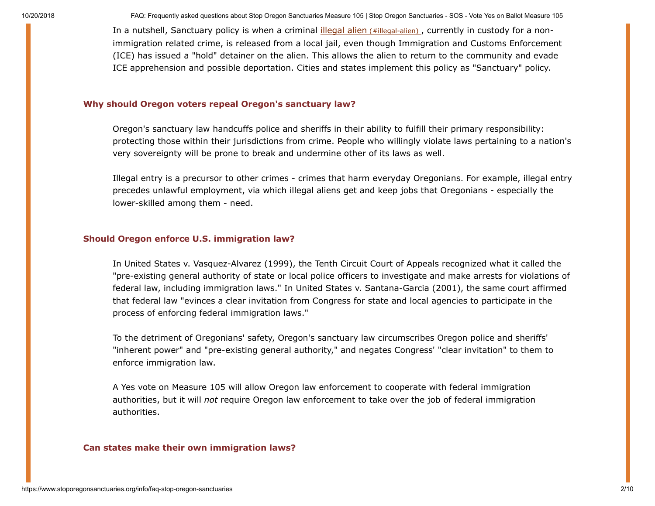In a nutshell, Sanctuary policy is when a criminal *[illegal alien](#page-7-0) (#illegal-alien)*, currently in custody for a nonimmigration related crime, is released from a local jail, even though Immigration and Customs Enforcement (ICE) has issued a "hold" detainer on the alien. This allows the alien to return to the community and evade ICE apprehension and possible deportation. Cities and states implement this policy as "Sanctuary" policy.

#### Why should Oregon voters repeal Oregon's sanctuary law?

Oregon's sanctuary law handcuffs police and sheriffs in their ability to fulfill their primary responsibility: protecting those within their jurisdictions from crime. People who willingly violate laws pertaining to a nation's very sovereignty will be prone to break and undermine other of its laws as well.

Illegal entry is a precursor to other crimes - crimes that harm everyday Oregonians. For example, illegal entry precedes unlawful employment, via which illegal aliens get and keep jobs that Oregonians - especially the lower-skilled among them - need.

#### Should Oregon enforce U.S. immigration law?

In United States v. Vasquez-Alvarez (1999), the Tenth Circuit Court of Appeals recognized what it called the "pre-existing general authority of state or local police officers to investigate and make arrests for violations of federal law, including immigration laws." In United States v. Santana-Garcia (2001), the same court affirmed that federal law "evinces a clear invitation from Congress for state and local agencies to participate in the process of enforcing federal immigration laws."

To the detriment of Oregonians' safety, Oregon's sanctuary law circumscribes Oregon police and sheriffs' "inherent power" and "pre-existing general authority," and negates Congress' "clear invitation" to them to enforce immigration law.

A Yes vote on Measure 105 will allow Oregon law enforcement to cooperate with federal immigration authorities, but it will not require Oregon law enforcement to take over the job of federal immigration authorities.

#### Can states make their own immigration laws?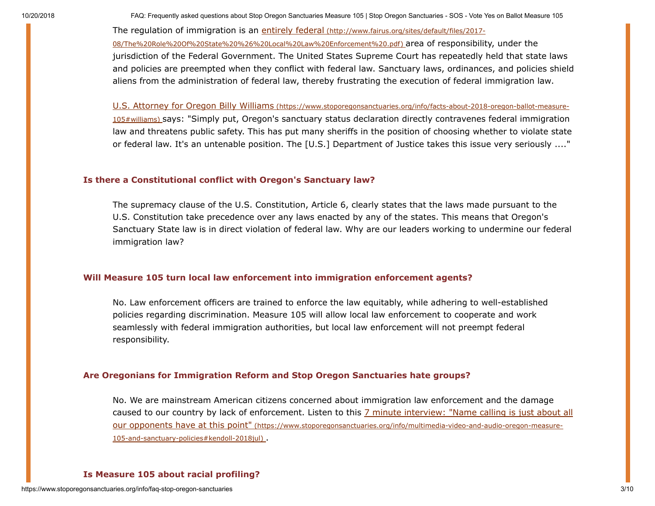The regulation of immigration is an entirely federal (http://www.fairus.org/sites/default/files/2017- [08/The%20Role%20Of%20State%20%26%20Local%20Law%20Enforcement%20.pdf\)](http://www.fairus.org/sites/default/files/2017-08/The%20Role%20Of%20State%20%26%20Local%20Law%20Enforcement%20.pdf) area of responsibility, under the jurisdiction of the Federal Government. The United States Supreme Court has repeatedly held that state laws and policies are preempted when they conflict with federal law. Sanctuary laws, ordinances, and policies shield aliens from the administration of federal law, thereby frustrating the execution of federal immigration law.

U.S. Attorney for Oregon Billy Williams (https://www.stoporegonsanctuaries.org/info/facts-about-2018-oregon-ballot-measure-105#williams) [says: "Simply put, Oregon's sanctuary status declaration directly contravenes federal immigration](https://www.stoporegonsanctuaries.org/info/facts-about-2018-oregon-ballot-measure-105#williams) law and threatens public safety. This has put many sheriffs in the position of choosing whether to violate state or federal law. It's an untenable position. The [U.S.] Department of Justice takes this issue very seriously ...."

### Is there a Constitutional conflict with Oregon's Sanctuary law?

The supremacy clause of the U.S. Constitution, Article 6, clearly states that the laws made pursuant to the U.S. Constitution take precedence over any laws enacted by any of the states. This means that Oregon's Sanctuary State law is in direct violation of federal law. Why are our leaders working to undermine our federal immigration law?

#### Will Measure 105 turn local law enforcement into immigration enforcement agents?

No. Law enforcement officers are trained to enforce the law equitably, while adhering to well-established policies regarding discrimination. Measure 105 will allow local law enforcement to cooperate and work seamlessly with federal immigration authorities, but local law enforcement will not preempt federal responsibility.

#### Are Oregonians for Immigration Reform and Stop Oregon Sanctuaries hate groups?

No. We are mainstream American citizens concerned about immigration law enforcement and the damage [caused to our country by lack of enforcement. Listen to this 7 minute interview: "Name calling is just about all](https://www.stoporegonsanctuaries.org/info/multimedia-video-and-audio-oregon-measure-105-and-sanctuary-policies#kendoll-2018jul) our opponents have at this point" (https://www.stoporegonsanctuaries.org/info/multimedia-video-and-audio-oregon-measure-105-and-sanctuary-policies#kendoll-2018jul) .

# Is Measure 105 about racial profiling?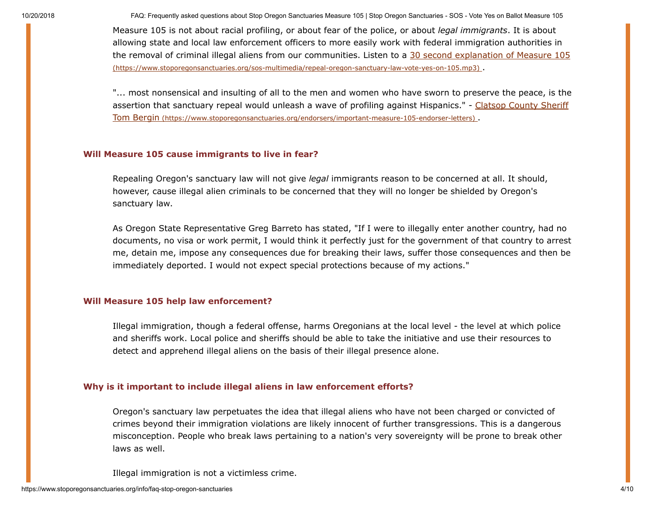Measure 105 is not about racial profiling, or about fear of the police, or about legal immigrants. It is about allowing state and local law enforcement officers to more easily work with federal immigration authorities in [the removal of criminal illegal aliens from our communities. Listen to a 30 second explanation of Measure 105](https://www.stoporegonsanctuaries.org/sos-multimedia/repeal-oregon-sanctuary-law-vote-yes-on-105.mp3) (https://www.stoporegonsanctuaries.org/sos-multimedia/repeal-oregon-sanctuary-law-vote-yes-on-105.mp3) .

"... most nonsensical and insulting of all to the men and women who have sworn to preserve the peace, is the [assertion that sanctuary repeal would unleash a wave of profiling against Hispanics." - Clatsop County Sheriff](https://www.stoporegonsanctuaries.org/endorsers/important-measure-105-endorser-letters) Tom Bergin (https://www.stoporegonsanctuaries.org/endorsers/important-measure-105-endorser-letters) .

# Will Measure 105 cause immigrants to live in fear?

Repealing Oregon's sanctuary law will not give legal immigrants reason to be concerned at all. It should, however, cause illegal alien criminals to be concerned that they will no longer be shielded by Oregon's sanctuary law.

As Oregon State Representative Greg Barreto has stated, "If I were to illegally enter another country, had no documents, no visa or work permit, I would think it perfectly just for the government of that country to arrest me, detain me, impose any consequences due for breaking their laws, suffer those consequences and then be immediately deported. I would not expect special protections because of my actions."

# Will Measure 105 help law enforcement?

Illegal immigration, though a federal offense, harms Oregonians at the local level - the level at which police and sheriffs work. Local police and sheriffs should be able to take the initiative and use their resources to detect and apprehend illegal aliens on the basis of their illegal presence alone.

# Why is it important to include illegal aliens in law enforcement efforts?

Oregon's sanctuary law perpetuates the idea that illegal aliens who have not been charged or convicted of crimes beyond their immigration violations are likely innocent of further transgressions. This is a dangerous misconception. People who break laws pertaining to a nation's very sovereignty will be prone to break other laws as well.

Illegal immigration is not a victimless crime.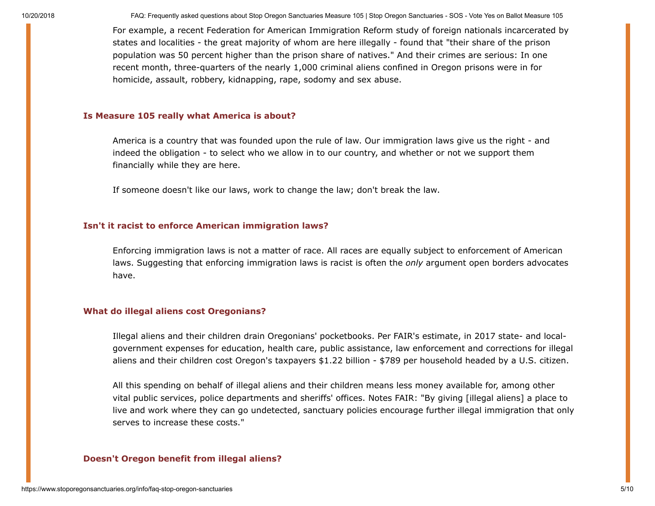For example, a recent Federation for American Immigration Reform study of foreign nationals incarcerated by states and localities - the great majority of whom are here illegally - found that "their share of the prison population was 50 percent higher than the prison share of natives." And their crimes are serious: In one recent month, three-quarters of the nearly 1,000 criminal aliens confined in Oregon prisons were in for homicide, assault, robbery, kidnapping, rape, sodomy and sex abuse.

# Is Measure 105 really what America is about?

America is a country that was founded upon the rule of law. Our immigration laws give us the right - and indeed the obligation - to select who we allow in to our country, and whether or not we support them financially while they are here.

If someone doesn't like our laws, work to change the law; don't break the law.

#### Isn't it racist to enforce American immigration laws?

Enforcing immigration laws is not a matter of race. All races are equally subject to enforcement of American laws. Suggesting that enforcing immigration laws is racist is often the only argument open borders advocates have.

#### What do illegal aliens cost Oregonians?

Illegal aliens and their children drain Oregonians' pocketbooks. Per FAIR's estimate, in 2017 state- and localgovernment expenses for education, health care, public assistance, law enforcement and corrections for illegal aliens and their children cost Oregon's taxpayers \$1.22 billion - \$789 per household headed by a U.S. citizen.

All this spending on behalf of illegal aliens and their children means less money available for, among other vital public services, police departments and sheriffs' offices. Notes FAIR: "By giving [illegal aliens] a place to live and work where they can go undetected, sanctuary policies encourage further illegal immigration that only serves to increase these costs."

#### Doesn't Oregon benefit from illegal aliens?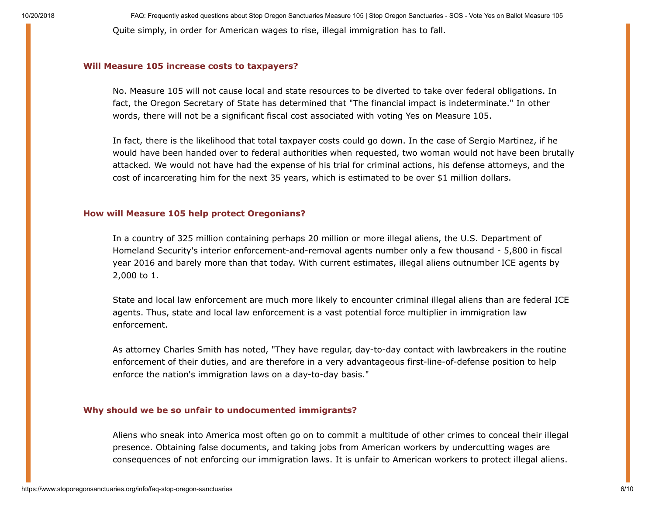10/20/2018 FAQ: Frequently asked questions about Stop Oregon Sanctuaries Measure 105 | Stop Oregon Sanctuaries - SOS - Vote Yes on Ballot Measure 105 Quite simply, in order for American wages to rise, illegal immigration has to fall.

#### Will Measure 105 increase costs to taxpayers?

No. Measure 105 will not cause local and state resources to be diverted to take over federal obligations. In fact, the Oregon Secretary of State has determined that "The financial impact is indeterminate." In other words, there will not be a significant fiscal cost associated with voting Yes on Measure 105.

In fact, there is the likelihood that total taxpayer costs could go down. In the case of Sergio Martinez, if he would have been handed over to federal authorities when requested, two woman would not have been brutally attacked. We would not have had the expense of his trial for criminal actions, his defense attorneys, and the cost of incarcerating him for the next 35 years, which is estimated to be over \$1 million dollars.

#### How will Measure 105 help protect Oregonians?

In a country of 325 million containing perhaps 20 million or more illegal aliens, the U.S. Department of Homeland Security's interior enforcement-and-removal agents number only a few thousand - 5,800 in fiscal year 2016 and barely more than that today. With current estimates, illegal aliens outnumber ICE agents by 2,000 to 1.

State and local law enforcement are much more likely to encounter criminal illegal aliens than are federal ICE agents. Thus, state and local law enforcement is a vast potential force multiplier in immigration law enforcement.

As attorney Charles Smith has noted, "They have regular, day-to-day contact with lawbreakers in the routine enforcement of their duties, and are therefore in a very advantageous first-line-of-defense position to help enforce the nation's immigration laws on a day-to-day basis."

#### Why should we be so unfair to undocumented immigrants?

Aliens who sneak into America most often go on to commit a multitude of other crimes to conceal their illegal presence. Obtaining false documents, and taking jobs from American workers by undercutting wages are consequences of not enforcing our immigration laws. It is unfair to American workers to protect illegal aliens.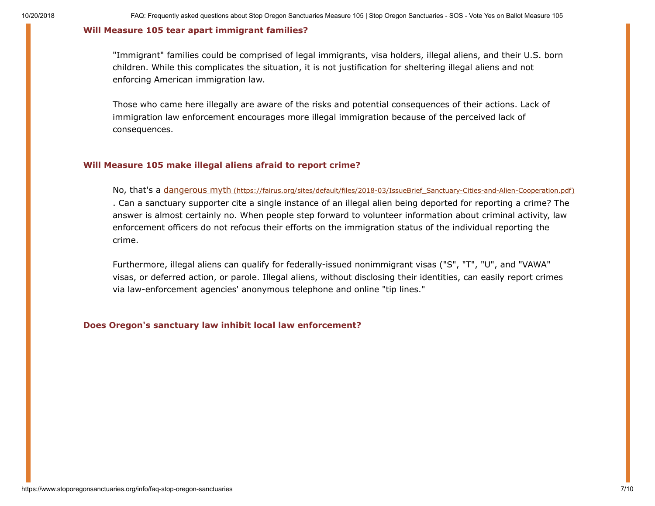#### Will Measure 105 tear apart immigrant families?

"Immigrant" families could be comprised of legal immigrants, visa holders, illegal aliens, and their U.S. born children. While this complicates the situation, it is not justification for sheltering illegal aliens and not enforcing American immigration law.

Those who came here illegally are aware of the risks and potential consequences of their actions. Lack of immigration law enforcement encourages more illegal immigration because of the perceived lack of consequences.

#### Will Measure 105 make illegal aliens afraid to report crime?

No, that's a dangerous myth [\(https://fairus.org/sites/default/files/2018-03/IssueBrief\\_Sanctuary-Cities-and-Alien-Cooperation.pdf\)](https://fairus.org/sites/default/files/2018-03/IssueBrief_Sanctuary-Cities-and-Alien-Cooperation.pdf) . Can a sanctuary supporter cite a single instance of an illegal alien being deported for reporting a crime? The answer is almost certainly no. When people step forward to volunteer information about criminal activity, law enforcement officers do not refocus their efforts on the immigration status of the individual reporting the crime.

Furthermore, illegal aliens can qualify for federally-issued nonimmigrant visas ("S", "T", "U", and "VAWA" visas, or deferred action, or parole. Illegal aliens, without disclosing their identities, can easily report crimes via law-enforcement agencies' anonymous telephone and online "tip lines."

#### Does Oregon's sanctuary law inhibit local law enforcement?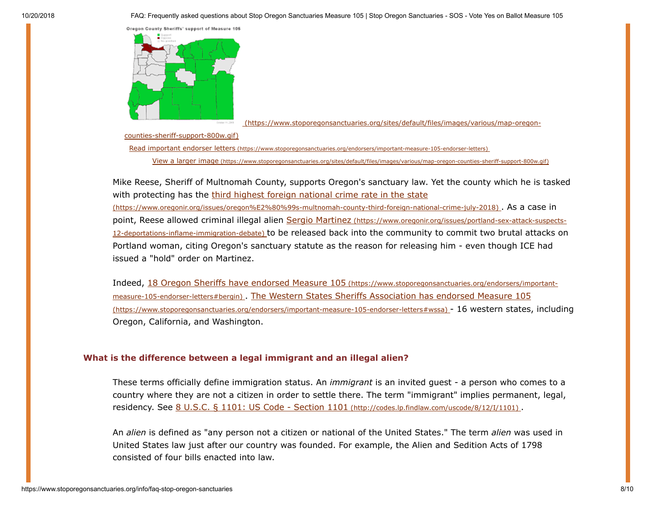Oregon County Sheriffs' support of Measure 105



 [\(https://www.stoporegonsanctuaries.org/sites/default/files/images/various/map-oregon-](https://www.stoporegonsanctuaries.org/sites/default/files/images/various/map-oregon-counties-sheriff-support-800w.gif)

counties-sheriff-support-800w.gif)

Read important endorser letters [\(https://www.stoporegonsanctuaries.org/endorsers/important-measure-105-endorser-letters\)](https://www.stoporegonsanctuaries.org/endorsers/important-measure-105-endorser-letters)

View a larger image [\(https://www.stoporegonsanctuaries.org/sites/default/files/images/various/map-oregon-counties-sheriff-support-800w.gif\)](https://www.stoporegonsanctuaries.org/sites/default/files/images/various/map-oregon-counties-sheriff-support-800w.gif)

Mike Reese, Sheriff of Multnomah County, supports Oregon's sanctuary law. Yet the county which he is tasked [with protecting has the third highest foreign national crime rate in the state](https://www.oregonir.org/issues/oregon%E2%80%99s-multnomah-county-third-foreign-national-crime-july-2018)

(https://www.oregonir.org/issues/oregon%E2%80%99s-multnomah-county-third-foreign-national-crime-july-2018) . As a case in point, Reese allowed criminal illegal alien Sergio Martinez (https://www.oregonir.org/issues/portland-sex-attack-suspects-12-deportations-inflame-immigration-debate) [to be released back into the community to commit two brutal attacks on](https://www.oregonir.org/issues/portland-sex-attack-suspects-12-deportations-inflame-immigration-debate) Portland woman, citing Oregon's sanctuary statute as the reason for releasing him - even though ICE had issued a "hold" order on Martinez.

Indeed, 18 Oregon Sheriffs have endorsed Measure 105 (https://www.stoporegonsanctuaries.org/endorsers/importantmeasure-105-endorser-letters#bergin) [. The Western States Sheriffs Association has endorsed Measure 105](https://www.stoporegonsanctuaries.org/endorsers/important-measure-105-endorser-letters#bergin) (https://www.stoporegonsanctuaries.org/endorsers/important-measure-105-endorser-letters#wssa) - 16 western states, including Oregon, California, and Washington.

# <span id="page-7-0"></span>What is the difference between a legal immigrant and an illegal alien?

These terms officially define immigration status. An *immigrant* is an invited guest - a person who comes to a country where they are not a citizen in order to settle there. The term "immigrant" implies permanent, legal, residency. See [8 U.S.C. § 1101: US Code - Section 1101](http://codes.lp.findlaw.com/uscode/8/12/I/1101) (http://codes.lp.findlaw.com/uscode/8/12/I/1101).

An *alien* is defined as "any person not a citizen or national of the United States." The term *alien* was used in United States law just after our country was founded. For example, the Alien and Sedition Acts of 1798 consisted of four bills enacted into law.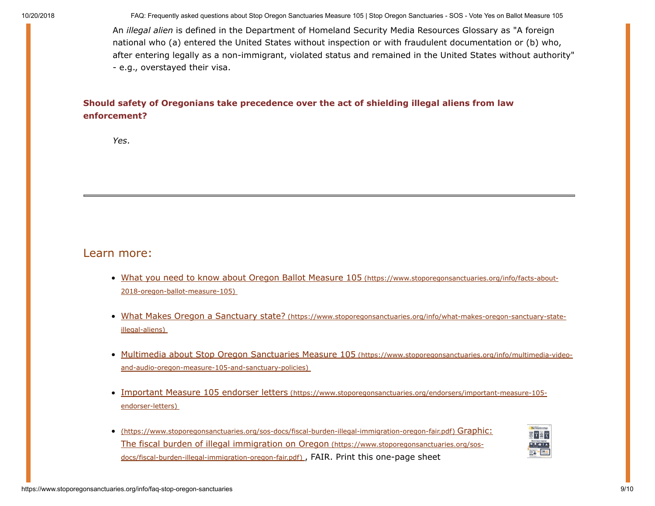An illegal alien is defined in the Department of Homeland Security Media Resources Glossary as "A foreign national who (a) entered the United States without inspection or with fraudulent documentation or (b) who, after entering legally as a non-immigrant, violated status and remained in the United States without authority" - e.g., overstayed their visa.

# Should safety of Oregonians take precedence over the act of shielding illegal aliens from law enforcement?

Yes.

# Learn more:

- [What you need to know about Oregon Ballot Measure 105](https://www.stoporegonsanctuaries.org/info/facts-about-2018-oregon-ballot-measure-105) (https://www.stoporegonsanctuaries.org/info/facts-about-2018-oregon-ballot-measure-105)
- What Makes Oregon a Sanctuary state? [\(https://www.stoporegonsanctuaries.org/info/what-makes-oregon-sanctuary-state](https://www.stoporegonsanctuaries.org/info/what-makes-oregon-sanctuary-state-illegal-aliens)illegal-aliens)
- [Multimedia about Stop Oregon Sanctuaries Measure 105](https://www.stoporegonsanctuaries.org/info/multimedia-video-and-audio-oregon-measure-105-and-sanctuary-policies) (https://www.stoporegonsanctuaries.org/info/multimedia-videoand-audio-oregon-measure-105-and-sanctuary-policies)
- Important Measure 105 endorser letters [\(https://www.stoporegonsanctuaries.org/endorsers/important-measure-105](https://www.stoporegonsanctuaries.org/endorsers/important-measure-105-endorser-letters) endorser-letters)
- [\(https://www.stoporegonsanctuaries.org/sos-docs/fiscal-burden-illegal-immigration-oregon-fair.pdf\)](https://www.stoporegonsanctuaries.org/sos-docs/fiscal-burden-illegal-immigration-oregon-fair.pdf) Graphic: The fiscal burden of illegal immigration on Oregon (https://www.stoporegonsanctuaries.org/sosdocs/fiscal-burden-illegal-immigration-oregon-fair.pdf) , FAIR. Print this one-page sheet